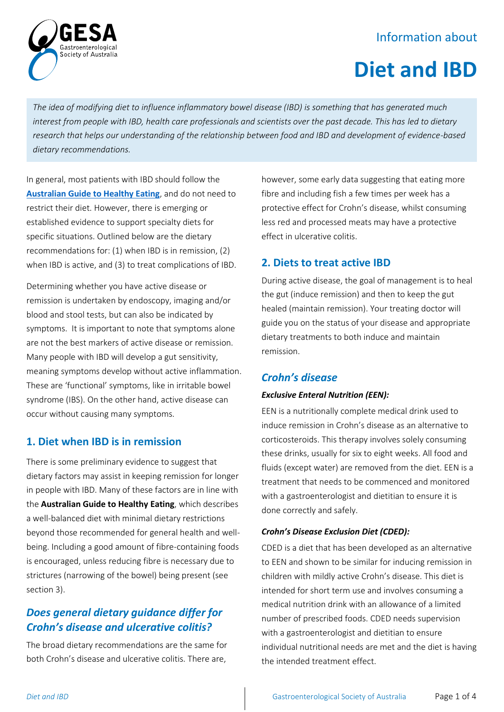# Information about



# **Diet and IBD**

*The idea of modifying diet to influence inflammatory bowel disease (IBD) is something that has generated much interest from people with IBD, health care professionals and scientists over the past decade. This has led to dietary research that helps our understanding of the relationship between food and IBD and development of evidence-based dietary recommendations.*

In general, most patients with IBD should follow the **[Australian Guide to Healthy Eating](https://www.eatforhealth.gov.au/guidelines/australian-guide-healthy-eating)**, and do not need to restrict their diet. However, there is emerging or established evidence to support specialty diets for specific situations. Outlined below are the dietary recommendations for: (1) when IBD is in remission, (2) when IBD is active, and (3) to treat complications of IBD.

Determining whether you have active disease or remission is undertaken by endoscopy, imaging and/or blood and stool tests, but can also be indicated by symptoms. It is important to note that symptoms alone are not the best markers of active disease or remission. Many people with IBD will develop a gut sensitivity, meaning symptoms develop without active inflammation. These are 'functional' symptoms, like in irritable bowel syndrome (IBS). On the other hand, active disease can occur without causing many symptoms.

#### **1. Diet when IBD is in remission**

There is some preliminary evidence to suggest that dietary factors may assist in keeping remission for longer in people with IBD. Many of these factors are in line with the **Australian Guide to Healthy Eating**, which describes a well-balanced diet with minimal dietary restrictions beyond those recommended for general health and wellbeing. Including a good amount of fibre-containing foods is encouraged, unless reducing fibre is necessary due to strictures (narrowing of the bowel) being present (see section 3).

# *Does general dietary guidance differ for Crohn's disease and ulcerative colitis?*

The broad dietary recommendations are the same for both Crohn's disease and ulcerative colitis. There are,

however, some early data suggesting that eating more fibre and including fish a few times per week has a protective effect for Crohn's disease, whilst consuming less red and processed meats may have a protective effect in ulcerative colitis.

# **2. Diets to treat active IBD**

During active disease, the goal of management is to heal the gut (induce remission) and then to keep the gut healed (maintain remission). Your treating doctor will guide you on the status of your disease and appropriate dietary treatments to both induce and maintain remission.

# *Crohn's disease*

#### *Exclusive Enteral Nutrition (EEN):*

EEN is a nutritionally complete medical drink used to induce remission in Crohn's disease as an alternative to corticosteroids. This therapy involves solely consuming these drinks, usually for six to eight weeks. All food and fluids (except water) are removed from the diet. EEN is a treatment that needs to be commenced and monitored with a gastroenterologist and dietitian to ensure it is done correctly and safely.

#### *Crohn's Disease Exclusion Diet (CDED):*

CDED is a diet that has been developed as an alternative to EEN and shown to be similar for inducing remission in children with mildly active Crohn's disease. This diet is intended for short term use and involves consuming a medical nutrition drink with an allowance of a limited number of prescribed foods. CDED needs supervision with a gastroenterologist and dietitian to ensure individual nutritional needs are met and the diet is having the intended treatment effect.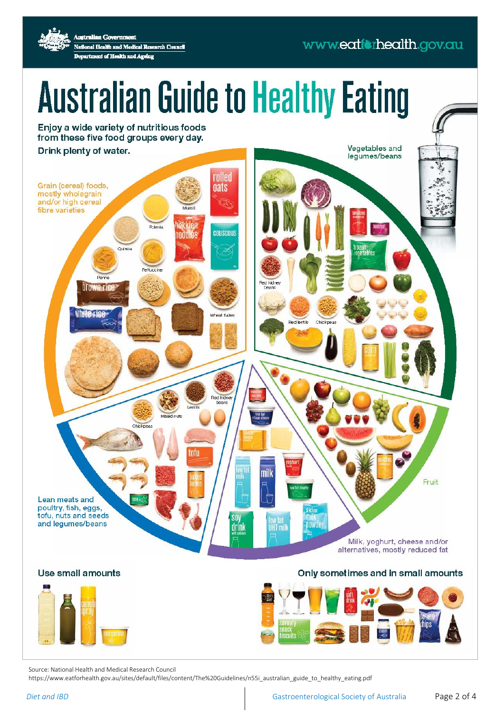# www.eatforhealth.gov.au

**Australian Government** National Health and Medical Research Council Department of Health and Ageing

# **Australian Guide to Healthy Eating**

Enjoy a wide variety of nutritious foods from these five food groups every day.

Drink plenty of water.

Vegetables and legumes/beans rolled Grain (cereal) foods, **nats** mostly wholegrain and/or high cereal fibre varieties **Dolents COUSCOUS** noddes Outros **Fettuccine** led kidne **Drowneri** Wheat flakes **Red lentils** Chic. Ped kidr bears Chick m mill Fruit Lean meats and poultry, fish, eggs, skim tofu, nuts and seeds  $\overline{\text{sn}}$ low fat<br>UHT mil and legumes/beans nowde drink Milk, yoghurt, cheese and/or alternatives, mostly reduced fat

#### Use small amounts



#### Only sometimes and in small amounts



Source: National Health and Medical Research Council

https://www.eatforhealth.gov.au/sites/default/files/content/The%20Guidelines/n55i\_australian\_guide\_to\_healthy\_eating.pdf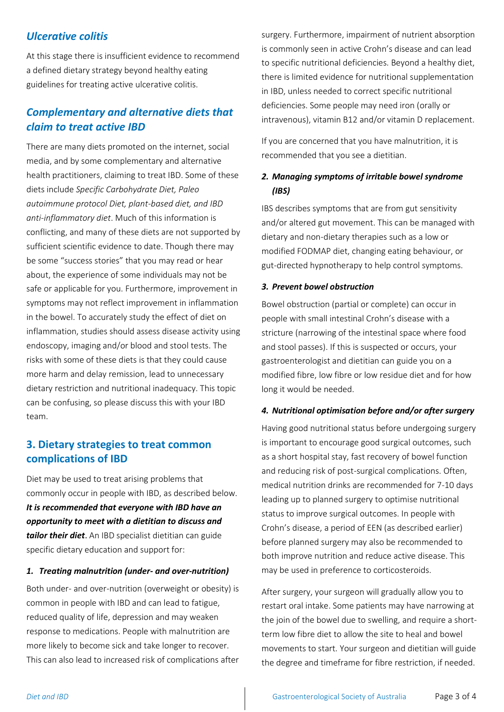#### *Ulcerative colitis*

At this stage there is insufficient evidence to recommend a defined dietary strategy beyond healthy eating guidelines for treating active ulcerative colitis.

### *Complementary and alternative diets that claim to treat active IBD*

There are many diets promoted on the internet, social media, and by some complementary and alternative health practitioners, claiming to treat IBD. Some of these diets include *Specific Carbohydrate Diet, Paleo autoimmune protocol Diet, plant-based diet, and IBD anti-inflammatory diet*. Much of this information is conflicting, and many of these diets are not supported by sufficient scientific evidence to date. Though there may be some "success stories" that you may read or hear about, the experience of some individuals may not be safe or applicable for you. Furthermore, improvement in symptoms may not reflect improvement in inflammation in the bowel. To accurately study the effect of diet on inflammation, studies should assess disease activity using endoscopy, imaging and/or blood and stool tests. The risks with some of these diets is that they could cause more harm and delay remission, lead to unnecessary dietary restriction and nutritional inadequacy. This topic can be confusing, so please discuss this with your IBD team.

### **3. Dietary strategies to treat common complications of IBD**

Diet may be used to treat arising problems that commonly occur in people with IBD, as described below. *It is recommended that everyone with IBD have an opportunity to meet with a dietitian to discuss and tailor their diet*. An IBD specialist dietitian can guide specific dietary education and support for:

#### *1. Treating malnutrition (under- and over-nutrition)*

Both under- and over-nutrition (overweight or obesity) is common in people with IBD and can lead to fatigue, reduced quality of life, depression and may weaken response to medications. People with malnutrition are more likely to become sick and take longer to recover. This can also lead to increased risk of complications after surgery. Furthermore, impairment of nutrient absorption is commonly seen in active Crohn's disease and can lead to specific nutritional deficiencies. Beyond a healthy diet, there is limited evidence for nutritional supplementation in IBD, unless needed to correct specific nutritional deficiencies. Some people may need iron (orally or intravenous), vitamin B12 and/or vitamin D replacement.

If you are concerned that you have malnutrition, it is recommended that you see a dietitian.

#### *2. Managing symptoms of irritable bowel syndrome (IBS)*

IBS describes symptoms that are from gut sensitivity and/or altered gut movement. This can be managed with dietary and non-dietary therapies such as a low or modified FODMAP diet, changing eating behaviour, or gut-directed hypnotherapy to help control symptoms.

#### *3. Prevent bowel obstruction*

Bowel obstruction (partial or complete) can occur in people with small intestinal Crohn's disease with a stricture (narrowing of the intestinal space where food and stool passes). If this is suspected or occurs, your gastroenterologist and dietitian can guide you on a modified fibre, low fibre or low residue diet and for how long it would be needed.

#### *4. Nutritional optimisation before and/or after surgery*

Having good nutritional status before undergoing surgery is important to encourage good surgical outcomes, such as a short hospital stay, fast recovery of bowel function and reducing risk of post-surgical complications. Often, medical nutrition drinks are recommended for 7-10 days leading up to planned surgery to optimise nutritional status to improve surgical outcomes. In people with Crohn's disease, a period of EEN (as described earlier) before planned surgery may also be recommended to both improve nutrition and reduce active disease. This may be used in preference to corticosteroids.

After surgery, your surgeon will gradually allow you to restart oral intake. Some patients may have narrowing at the join of the bowel due to swelling, and require a shortterm low fibre diet to allow the site to heal and bowel movements to start. Your surgeon and dietitian will guide the degree and timeframe for fibre restriction, if needed.